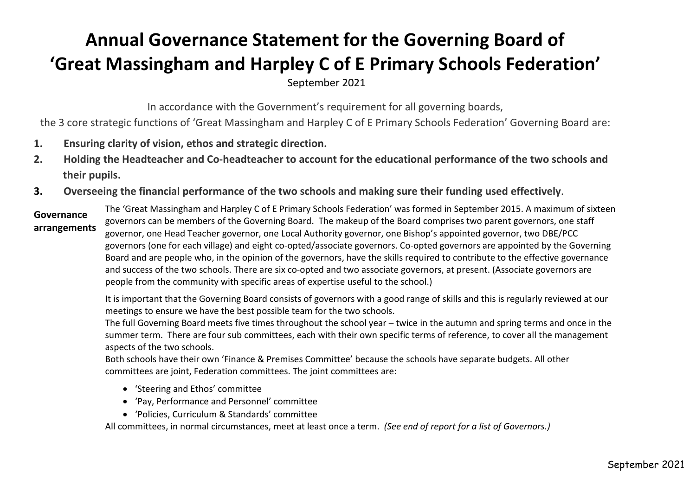## **Annual Governance Statement for the Governing Board of 'Great Massingham and Harpley C of E Primary Schools Federation'**

September 2021

In accordance with the Government's requirement for all governing boards,

the 3 core strategic functions of 'Great Massingham and Harpley C of E Primary Schools Federation' Governing Board are:

- **1. Ensuring clarity of vision, ethos and strategic direction.**
- 2. Holding the Headteacher and Co-headteacher to account for the educational performance of the two schools and **their pupils.**
- **3. Overseeing the financial performance of the two schools and making sure their funding used effectively**.

## **Governance arrangements**

The 'Great Massingham and Harpley C of E Primary Schools Federation' was formed in September 2015. A maximum of sixteen governors can be members of the Governing Board. The makeup of the Board comprises two parent governors, one staff governor, one Head Teacher governor, one Local Authority governor, one Bishop's appointed governor, two DBE/PCC governors (one for each village) and eight co-opted/associate governors. Co-opted governors are appointed by the Governing Board and are people who, in the opinion of the governors, have the skills required to contribute to the effective governance and success of the two schools. There are six co-opted and two associate governors, at present. (Associate governors are people from the community with specific areas of expertise useful to the school.)

It is important that the Governing Board consists of governors with a good range of skills and this is regularly reviewed at our meetings to ensure we have the best possible team for the two schools.

The full Governing Board meets five times throughout the school year – twice in the autumn and spring terms and once in the summer term. There are four sub committees, each with their own specific terms of reference, to cover all the management aspects of the two schools.

Both schools have their own 'Finance & Premises Committee' because the schools have separate budgets. All other committees are joint, Federation committees. The joint committees are:

- 'Steering and Ethos' committee
- 'Pay, Performance and Personnel' committee
- 'Policies, Curriculum & Standards' committee

All committees, in normal circumstances, meet at least once a term. *(See end of report for a list of Governors.)*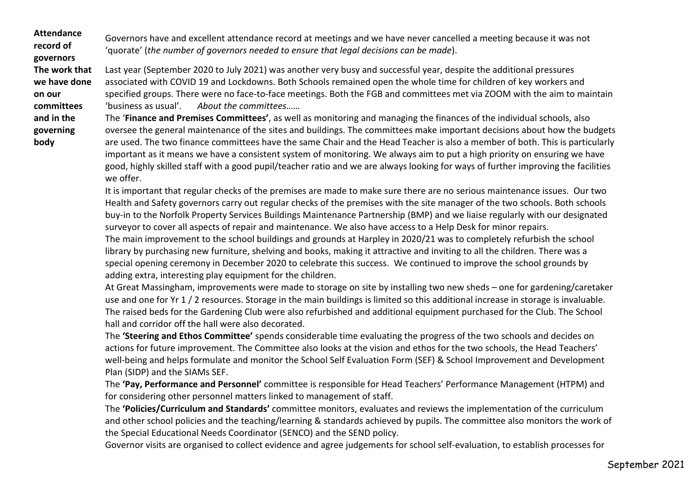**Attendance record of governors The work that we have done on our committees and in the governing body**

Governors have and excellent attendance record at meetings and we have never cancelled a meeting because it was not 'quorate' (*the number of governors needed to ensure that legal decisions can be made*).

Last year (September 2020 to July 2021) was another very busy and successful year, despite the additional pressures associated with COVID 19 and Lockdowns. Both Schools remained open the whole time for children of key workers and specified groups. There were no face-to-face meetings. Both the FGB and committees met via ZOOM with the aim to maintain 'business as usual'. *About the committees……*

The '**Finance and Premises Committees'**, as well as monitoring and managing the finances of the individual schools, also oversee the general maintenance of the sites and buildings. The committees make important decisions about how the budgets are used. The two finance committees have the same Chair and the Head Teacher is also a member of both. This is particularly important as it means we have a consistent system of monitoring. We always aim to put a high priority on ensuring we have good, highly skilled staff with a good pupil/teacher ratio and we are always looking for ways of further improving the facilities we offer.

It is important that regular checks of the premises are made to make sure there are no serious maintenance issues. Our two Health and Safety governors carry out regular checks of the premises with the site manager of the two schools. Both schools buy-in to the Norfolk Property Services Buildings Maintenance Partnership (BMP) and we liaise regularly with our designated surveyor to cover all aspects of repair and maintenance. We also have access to a Help Desk for minor repairs. The main improvement to the school buildings and grounds at Harpley in 2020/21 was to completely refurbish the school library by purchasing new furniture, shelving and books, making it attractive and inviting to all the children. There was a special opening ceremony in December 2020 to celebrate this success. We continued to improve the school grounds by adding extra, interesting play equipment for the children.

At Great Massingham, improvements were made to storage on site by installing two new sheds – one for gardening/caretaker use and one for Yr 1 / 2 resources. Storage in the main buildings is limited so this additional increase in storage is invaluable. The raised beds for the Gardening Club were also refurbished and additional equipment purchased for the Club. The School hall and corridor off the hall were also decorated.

The **'Steering and Ethos Committee'** spends considerable time evaluating the progress of the two schools and decides on actions for future improvement. The Committee also looks at the vision and ethos for the two schools, the Head Teachers' well-being and helps formulate and monitor the School Self Evaluation Form (SEF) & School Improvement and Development Plan (SIDP) and the SIAMs SEF.

The **'Pay, Performance and Personnel'** committee is responsible for Head Teachers' Performance Management (HTPM) and for considering other personnel matters linked to management of staff.

The **'Policies/Curriculum and Standards'** committee monitors, evaluates and reviews the implementation of the curriculum and other school policies and the teaching/learning & standards achieved by pupils. The committee also monitors the work of the Special Educational Needs Coordinator (SENCO) and the SEND policy.

Governor visits are organised to collect evidence and agree judgements for school self-evaluation, to establish processes for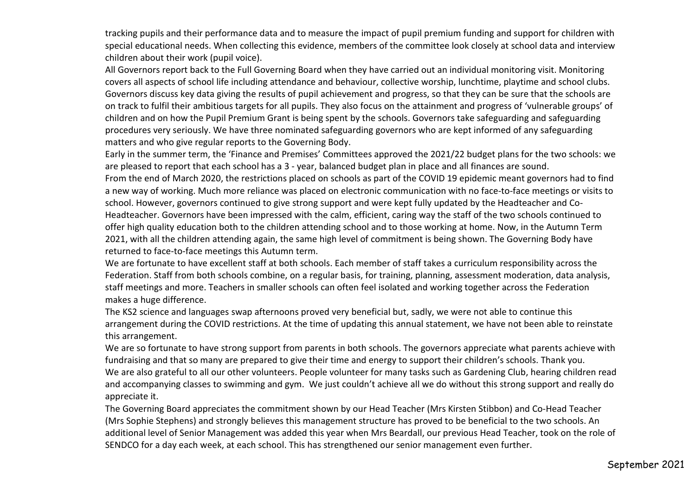tracking pupils and their performance data and to measure the impact of pupil premium funding and support for children with special educational needs. When collecting this evidence, members of the committee look closely at school data and interview children about their work (pupil voice).

All Governors report back to the Full Governing Board when they have carried out an individual monitoring visit. Monitoring covers all aspects of school life including attendance and behaviour, collective worship, lunchtime, playtime and school clubs. Governors discuss key data giving the results of pupil achievement and progress, so that they can be sure that the schools are on track to fulfil their ambitious targets for all pupils. They also focus on the attainment and progress of 'vulnerable groups' of children and on how the Pupil Premium Grant is being spent by the schools. Governors take safeguarding and safeguarding procedures very seriously. We have three nominated safeguarding governors who are kept informed of any safeguarding matters and who give regular reports to the Governing Body.

Early in the summer term, the 'Finance and Premises' Committees approved the 2021/22 budget plans for the two schools: we are pleased to report that each school has a 3 - year, balanced budget plan in place and all finances are sound.

From the end of March 2020, the restrictions placed on schools as part of the COVID 19 epidemic meant governors had to find a new way of working. Much more reliance was placed on electronic communication with no face-to-face meetings or visits to school. However, governors continued to give strong support and were kept fully updated by the Headteacher and Co-Headteacher. Governors have been impressed with the calm, efficient, caring way the staff of the two schools continued to offer high quality education both to the children attending school and to those working at home. Now, in the Autumn Term 2021, with all the children attending again, the same high level of commitment is being shown. The Governing Body have returned to face-to-face meetings this Autumn term.

We are fortunate to have excellent staff at both schools. Each member of staff takes a curriculum responsibility across the Federation. Staff from both schools combine, on a regular basis, for training, planning, assessment moderation, data analysis, staff meetings and more. Teachers in smaller schools can often feel isolated and working together across the Federation makes a huge difference.

The KS2 science and languages swap afternoons proved very beneficial but, sadly, we were not able to continue this arrangement during the COVID restrictions. At the time of updating this annual statement, we have not been able to reinstate this arrangement.

We are so fortunate to have strong support from parents in both schools. The governors appreciate what parents achieve with fundraising and that so many are prepared to give their time and energy to support their children's schools. Thank you. We are also grateful to all our other volunteers. People volunteer for many tasks such as Gardening Club, hearing children read and accompanying classes to swimming and gym. We just couldn't achieve all we do without this strong support and really do appreciate it.

The Governing Board appreciates the commitment shown by our Head Teacher (Mrs Kirsten Stibbon) and Co-Head Teacher (Mrs Sophie Stephens) and strongly believes this management structure has proved to be beneficial to the two schools. An additional level of Senior Management was added this year when Mrs Beardall, our previous Head Teacher, took on the role of SENDCO for a day each week, at each school. This has strengthened our senior management even further.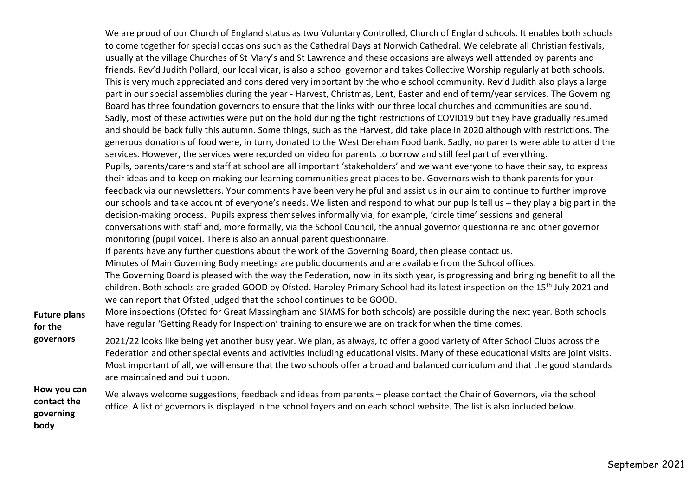| <b>Future plans</b><br>for the                  | We are proud of our Church of England status as two Voluntary Controlled, Church of England schools. It enables both schools<br>to come together for special occasions such as the Cathedral Days at Norwich Cathedral. We celebrate all Christian festivals,<br>usually at the village Churches of St Mary's and St Lawrence and these occasions are always well attended by parents and<br>friends. Rev'd Judith Pollard, our local vicar, is also a school governor and takes Collective Worship regularly at both schools.<br>This is very much appreciated and considered very important by the whole school community. Rev'd Judith also plays a large<br>part in our special assemblies during the year - Harvest, Christmas, Lent, Easter and end of term/year services. The Governing<br>Board has three foundation governors to ensure that the links with our three local churches and communities are sound.<br>Sadly, most of these activities were put on the hold during the tight restrictions of COVID19 but they have gradually resumed<br>and should be back fully this autumn. Some things, such as the Harvest, did take place in 2020 although with restrictions. The<br>generous donations of food were, in turn, donated to the West Dereham Food bank. Sadly, no parents were able to attend the<br>services. However, the services were recorded on video for parents to borrow and still feel part of everything.<br>Pupils, parents/carers and staff at school are all important 'stakeholders' and we want everyone to have their say, to express<br>their ideas and to keep on making our learning communities great places to be. Governors wish to thank parents for your<br>feedback via our newsletters. Your comments have been very helpful and assist us in our aim to continue to further improve<br>our schools and take account of everyone's needs. We listen and respond to what our pupils tell us - they play a big part in the<br>decision-making process. Pupils express themselves informally via, for example, 'circle time' sessions and general<br>conversations with staff and, more formally, via the School Council, the annual governor questionnaire and other governor<br>monitoring (pupil voice). There is also an annual parent questionnaire.<br>If parents have any further questions about the work of the Governing Board, then please contact us.<br>Minutes of Main Governing Body meetings are public documents and are available from the School offices.<br>The Governing Board is pleased with the way the Federation, now in its sixth year, is progressing and bringing benefit to all the<br>children. Both schools are graded GOOD by Ofsted. Harpley Primary School had its latest inspection on the 15 <sup>th</sup> July 2021 and<br>we can report that Ofsted judged that the school continues to be GOOD.<br>More inspections (Ofsted for Great Massingham and SIAMS for both schools) are possible during the next year. Both schools<br>have regular 'Getting Ready for Inspection' training to ensure we are on track for when the time comes. |
|-------------------------------------------------|---------------------------------------------------------------------------------------------------------------------------------------------------------------------------------------------------------------------------------------------------------------------------------------------------------------------------------------------------------------------------------------------------------------------------------------------------------------------------------------------------------------------------------------------------------------------------------------------------------------------------------------------------------------------------------------------------------------------------------------------------------------------------------------------------------------------------------------------------------------------------------------------------------------------------------------------------------------------------------------------------------------------------------------------------------------------------------------------------------------------------------------------------------------------------------------------------------------------------------------------------------------------------------------------------------------------------------------------------------------------------------------------------------------------------------------------------------------------------------------------------------------------------------------------------------------------------------------------------------------------------------------------------------------------------------------------------------------------------------------------------------------------------------------------------------------------------------------------------------------------------------------------------------------------------------------------------------------------------------------------------------------------------------------------------------------------------------------------------------------------------------------------------------------------------------------------------------------------------------------------------------------------------------------------------------------------------------------------------------------------------------------------------------------------------------------------------------------------------------------------------------------------------------------------------------------------------------------------------------------------------------------------------------------------------------------------------------------------------------------------------------------------------------------------------------------------------------------------------------------------------------------------------------------------------------------------------------------------------------------------------------------------------------------------------------------------------------------------------------------------------------|
| governors                                       | 2021/22 looks like being yet another busy year. We plan, as always, to offer a good variety of After School Clubs across the<br>Federation and other special events and activities including educational visits. Many of these educational visits are joint visits.<br>Most important of all, we will ensure that the two schools offer a broad and balanced curriculum and that the good standards<br>are maintained and built upon.                                                                                                                                                                                                                                                                                                                                                                                                                                                                                                                                                                                                                                                                                                                                                                                                                                                                                                                                                                                                                                                                                                                                                                                                                                                                                                                                                                                                                                                                                                                                                                                                                                                                                                                                                                                                                                                                                                                                                                                                                                                                                                                                                                                                                                                                                                                                                                                                                                                                                                                                                                                                                                                                                           |
| How you can<br>contact the<br>governing<br>hody | We always welcome suggestions, feedback and ideas from parents - please contact the Chair of Governors, via the school<br>office. A list of governors is displayed in the school foyers and on each school website. The list is also included below.                                                                                                                                                                                                                                                                                                                                                                                                                                                                                                                                                                                                                                                                                                                                                                                                                                                                                                                                                                                                                                                                                                                                                                                                                                                                                                                                                                                                                                                                                                                                                                                                                                                                                                                                                                                                                                                                                                                                                                                                                                                                                                                                                                                                                                                                                                                                                                                                                                                                                                                                                                                                                                                                                                                                                                                                                                                                            |

**body**